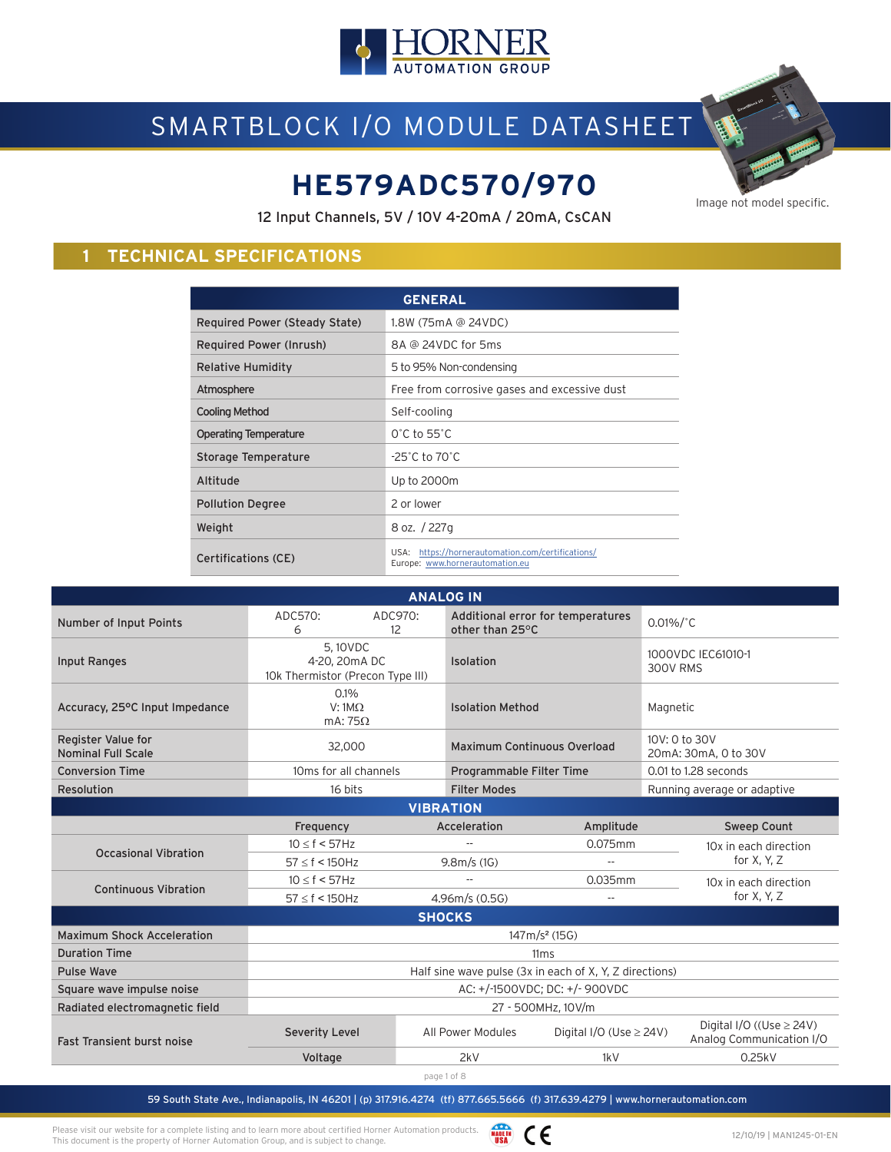

# SMARTBLOCK I/O MODULE DATASHEET

# **HE579ADC570/970** Image not model specific.

12 Input Channels, 5V / 10V 4-20mA / 20mA, CsCAN

### **1 TECHNICAL SPECIFICATIONS**

| <b>GENERAL</b>                |                                                                                      |  |  |  |
|-------------------------------|--------------------------------------------------------------------------------------|--|--|--|
| Required Power (Steady State) | 1.8W (75mA @ 24VDC)                                                                  |  |  |  |
| Required Power (Inrush)       | 8A @ 24VDC for 5ms                                                                   |  |  |  |
| Relative Humidity             | 5 to 95% Non-condensing                                                              |  |  |  |
| Atmosphere                    | Free from corrosive gases and excessive dust                                         |  |  |  |
| <b>Cooling Method</b>         | Self-cooling                                                                         |  |  |  |
| <b>Operating Temperature</b>  | $0^{\circ}$ C to 55 $^{\circ}$ C                                                     |  |  |  |
| Storage Temperature           | $-25^{\circ}$ C to 70 $^{\circ}$ C                                                   |  |  |  |
| Altitude                      | Up to 2000m                                                                          |  |  |  |
| <b>Pollution Degree</b>       | 2 or lower                                                                           |  |  |  |
| Weight                        | 8 oz. / 227g                                                                         |  |  |  |
| <b>Certifications (CE)</b>    | USA: https://hornerautomation.com/certifications/<br>Europe: www.hornerautomation.eu |  |  |  |

| <b>ANALOG IN</b>                                |                                                              |               |                                        |                                   |                                                           |
|-------------------------------------------------|--------------------------------------------------------------|---------------|----------------------------------------|-----------------------------------|-----------------------------------------------------------|
| Number of Input Points                          | ADC570:<br>6                                                 | ADC970:<br>12 | other than 25°C                        | Additional error for temperatures | $0.01\%/^{\circ}C$                                        |
| Input Ranges                                    | 5.10VDC<br>4-20, 20mA DC<br>10k Thermistor (Precon Type III) |               | Isolation                              |                                   | 1000VDC IEC61010-1<br><b>300V RMS</b>                     |
| Accuracy, 25°C Input Impedance                  | 0.1%<br>$V:1M\Omega$<br>mA: $75\Omega$                       |               | <b>Isolation Method</b>                |                                   | Magnetic                                                  |
| Register Value for<br><b>Nominal Full Scale</b> | 32,000                                                       |               | Maximum Continuous Overload            |                                   | 10V: 0 to 30V<br>20mA: 30mA, 0 to 30V                     |
| <b>Conversion Time</b>                          | 10ms for all channels                                        |               | Programmable Filter Time               |                                   | 0.01 to 1.28 seconds                                      |
| Resolution                                      | 16 bits                                                      |               | <b>Filter Modes</b>                    |                                   | Running average or adaptive                               |
| <b>VIBRATION</b>                                |                                                              |               |                                        |                                   |                                                           |
|                                                 | Frequency                                                    |               | Acceleration                           | Amplitude                         | Sweep Count                                               |
| <b>Occasional Vibration</b>                     | 10 < f < 57 Hz                                               |               |                                        |                                   | 10x in each direction                                     |
|                                                 | $57 \le f < 150$ Hz                                          |               | 9.8m/s(1G)<br>$\overline{\phantom{m}}$ |                                   | for $X, Y, Z$                                             |
| <b>Continuous Vibration</b>                     | $10 \le f < 57$ Hz                                           |               | 0.035mm<br>$-$                         |                                   | 10x in each direction                                     |
|                                                 | $57 \le f < 150$ Hz                                          |               | 4.96m/s(0.5G)                          |                                   | for X, Y, Z                                               |
|                                                 |                                                              |               | <b>SHOCKS</b>                          |                                   |                                                           |
| <b>Maximum Shock Acceleration</b>               |                                                              |               |                                        | $147 \text{ m/s}^2$ (15G)         |                                                           |
| <b>Duration Time</b>                            | 11 <sub>ms</sub>                                             |               |                                        |                                   |                                                           |
| <b>Pulse Wave</b>                               | Half sine wave pulse (3x in each of X, Y, Z directions)      |               |                                        |                                   |                                                           |
| Square wave impulse noise                       | AC: +/-1500VDC; DC: +/- 900VDC                               |               |                                        |                                   |                                                           |
| Radiated electromagnetic field                  | 27 - 500MHz, 10V/m                                           |               |                                        |                                   |                                                           |
| <b>Fast Transient burst noise</b>               | <b>Severity Level</b>                                        |               | All Power Modules                      | Digital I/O (Use $\geq$ 24V)      | Digital I/O ((Use $\geq$ 24V)<br>Analog Communication I/O |
|                                                 | Voltage                                                      |               | 2kV                                    | 1kV                               | 0.25kV                                                    |
|                                                 |                                                              |               | page 1 of 8                            |                                   |                                                           |

59 South State Ave., Indianapolis, IN 46201 | (p) 317.916.4274 (tf) 877.665.5666 (f) 317.639.4279 | www.hornerautomation.com

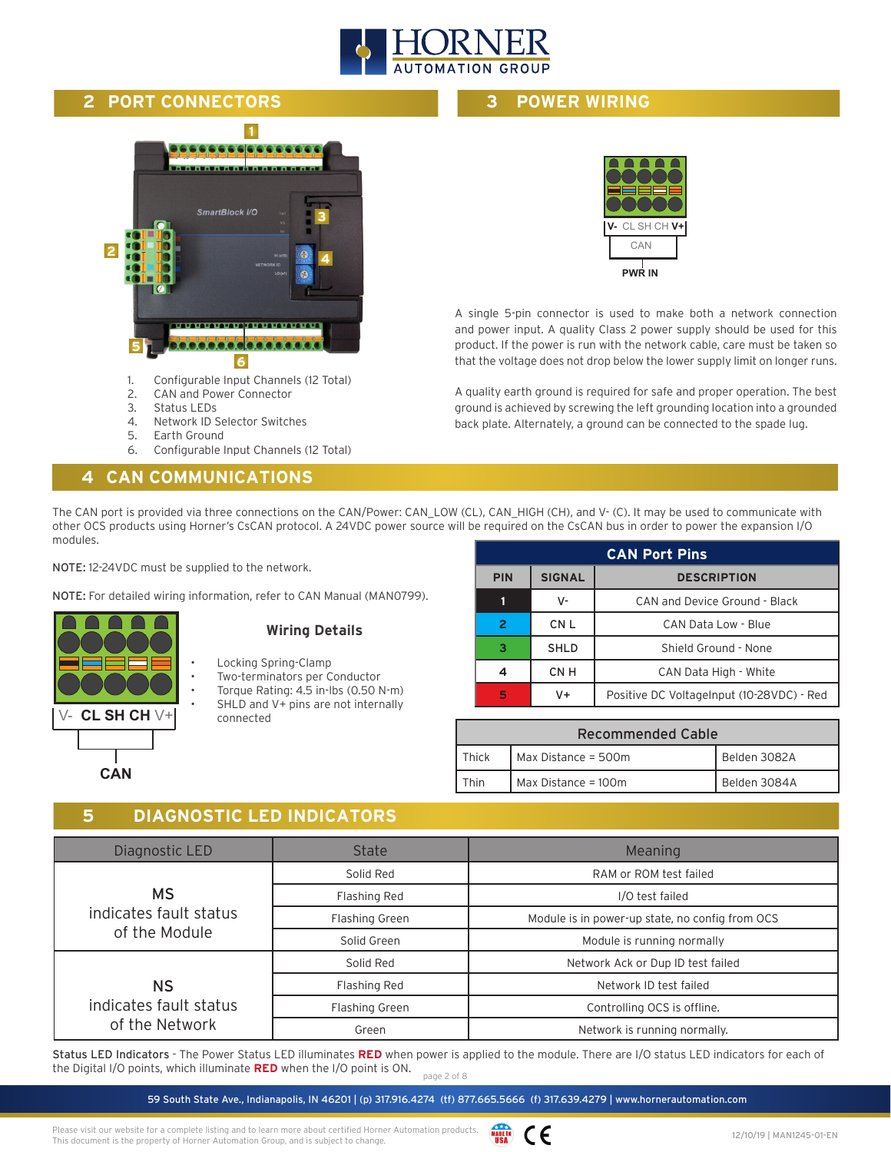

#### **2 PORT CONNECTORS**

## **1** 666 SmartBlock I/O **3 2 4 5** <u>e.e.e.e.e.e.e.e.</u> **6**

- 1. Configurable Input Channels (12 Total)
- 2. CAN and Power Connector
- 3. Status LEDs
- 4. Network ID Selector Switches
- 5. Earth Ground
- 6. Configurable Input Channels (12 Total)

#### **4 CAN COMMUNICATIONS**

**3 POWER WIRING**



A single 5-pin connector is used to make both a network connection and power input. A quality Class 2 power supply should be used for this product. If the power is run with the network cable, care must be taken so that the voltage does not drop below the lower supply limit on longer runs.

A quality earth ground is required for safe and proper operation. The best ground is achieved by screwing the left grounding location into a grounded back plate. Alternately, a ground can be connected to the spade lug.

The CAN port is provided via three connections on the CAN/Power: CAN\_LOW (CL), CAN\_HIGH (CH), and V- (C). It may be used to communicate with other OCS products using Horner's CsCAN protocol. A 24VDC power source will be required on the CsCAN bus in order to power the expansion I/O modules.

NOTE: 12-24VDC must be supplied to the network.

NOTE: For detailed wiring information, refer to CAN Manual (MAN0799).

| CL SH CH $V+$ |
|---------------|
|               |
| <b>CAN</b>    |

#### **Wiring Details**

- Locking Spring-Clamp
- Two-terminators per Conductor
- Torque Rating: 4.5 in-lbs (0.50 N-m) SHLD and V+ pins are not internally connected

| <b>CAN Port Pins</b>                              |             |                                           |  |  |
|---------------------------------------------------|-------------|-------------------------------------------|--|--|
| <b>SIGNAL</b><br><b>PIN</b><br><b>DESCRIPTION</b> |             |                                           |  |  |
|                                                   | v-          | CAN and Device Ground - Black             |  |  |
| $\overline{2}$                                    | CN L        | CAN Data Low - Blue                       |  |  |
| R                                                 | <b>SHLD</b> | Shield Ground - None                      |  |  |
|                                                   | CN H        | CAN Data High - White                     |  |  |
| 5                                                 | V+          | Positive DC VoltageInput (10-28VDC) - Red |  |  |

| <b>Recommended Cable</b>                     |                       |              |  |  |
|----------------------------------------------|-----------------------|--------------|--|--|
| Belden 3082A<br>Max Distance = 500m<br>Thick |                       |              |  |  |
| Fhin                                         | Max Distance = $100m$ | Belden 3084A |  |  |

#### **5 DIAGNOSTIC LED INDICATORS**

| Diagnostic LED                           | <b>State</b>          | Meaning                                         |
|------------------------------------------|-----------------------|-------------------------------------------------|
|                                          | Solid Red             | RAM or ROM test failed                          |
| <b>MS</b>                                | Flashing Red          | I/O test failed                                 |
| indicates fault status                   | <b>Flashing Green</b> | Module is in power-up state, no config from OCS |
| of the Module                            | Solid Green           | Module is running normally                      |
|                                          | Solid Red             | Network Ack or Dup ID test failed               |
| ΝS                                       | Flashing Red          | Network ID test failed                          |
| indicates fault status<br>of the Network | <b>Flashing Green</b> | Controlling OCS is offline.                     |
|                                          | Green                 | Network is running normally.                    |

page 2 of 8 Status LED Indicators - The Power Status LED illuminates **RED** when power is applied to the module. There are I/O status LED indicators for each of the Digital I/O points, which illuminate **RED** when the I/O point is ON.

59 South State Ave., Indianapolis, IN 46201 | (p) 317.916.4274 (tf) 877.665.5666 (f) 317.639.4279 | www.hornerautomation.com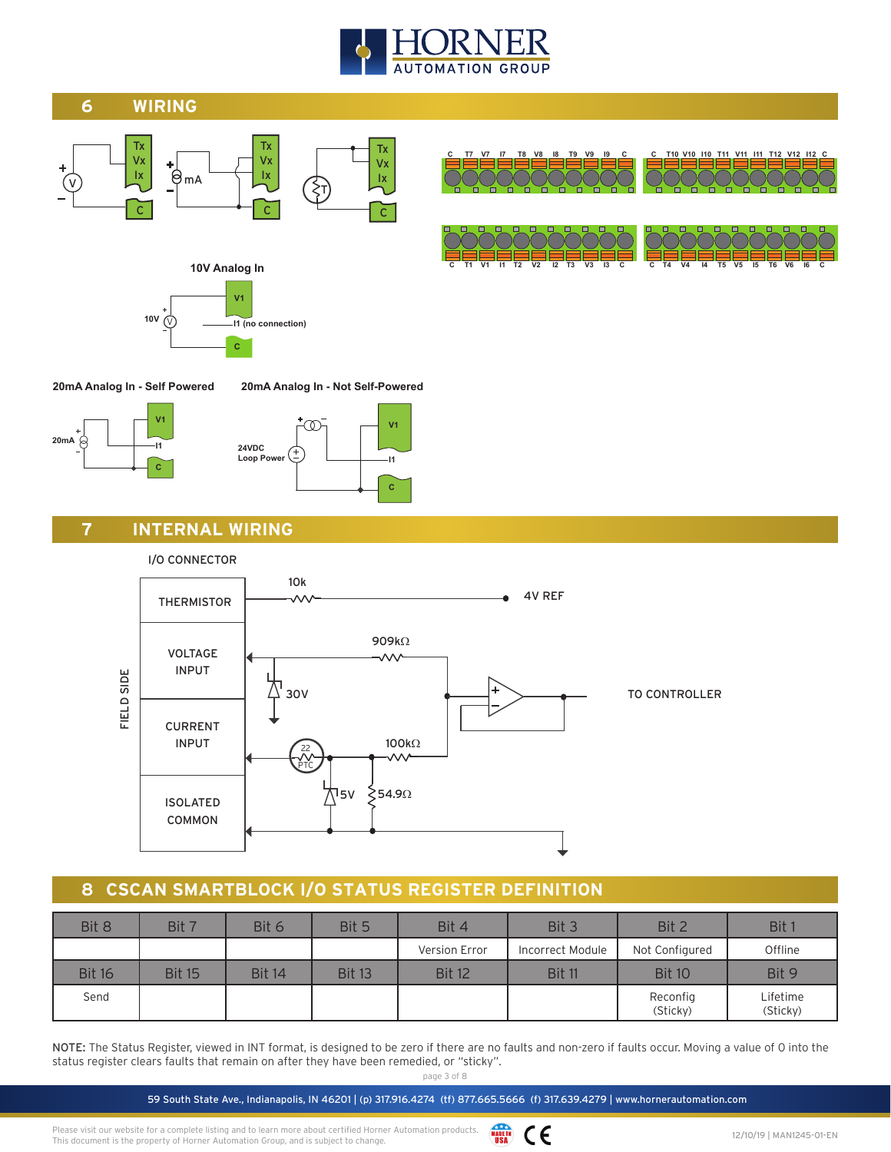

#### **6 WIRING**



**C T7 V7 I7 T8 V8 I8 T9 V9 I9 C C T10 V10 I10 T11 V11 I11 T12 V12 I12 C**

**C T1 V1 I1 T2 V2 I2 T3 V3 I3 C C T4 V4 I4 T5 V5 I5 T6 V6 I6 C**



## **10V Analog In**



**20mA Analog In - Self Powered**





**C**

**20mA Analog In - Not Self-Powered**

#### **7 INTERNAL WIRING**





#### **8 CSCAN SMARTBLOCK I/O STATUS REGISTER DEFINITION**

| Bit 8         | Bit 7         | Bit 6         | Bit 5         | Bit 4         | Bit 3            | Bit 2                | Bit 1                |
|---------------|---------------|---------------|---------------|---------------|------------------|----------------------|----------------------|
|               |               |               |               | Version Error | Incorrect Module | Not Configured       | Offline              |
| <b>Bit 16</b> | <b>Bit 15</b> | <b>Bit 14</b> | <b>Bit 13</b> | <b>Bit 12</b> | <b>Bit 11</b>    | <b>Bit 10</b>        | Bit 9                |
| Send          |               |               |               |               |                  | Reconfig<br>(Sticky) | Lifetime<br>(Sticky) |

NOTE: The Status Register, viewed in INT format, is designed to be zero if there are no faults and non-zero if faults occur. Moving a value of 0 into the status register clears faults that remain on after they have been remedied, or "sticky".

page 3 of 8

59 South State Ave., Indianapolis, IN 46201 | (p) 317.916.4274 (tf) 877.665.5666 (f) 317.639.4279 | www.hornerautomation.com

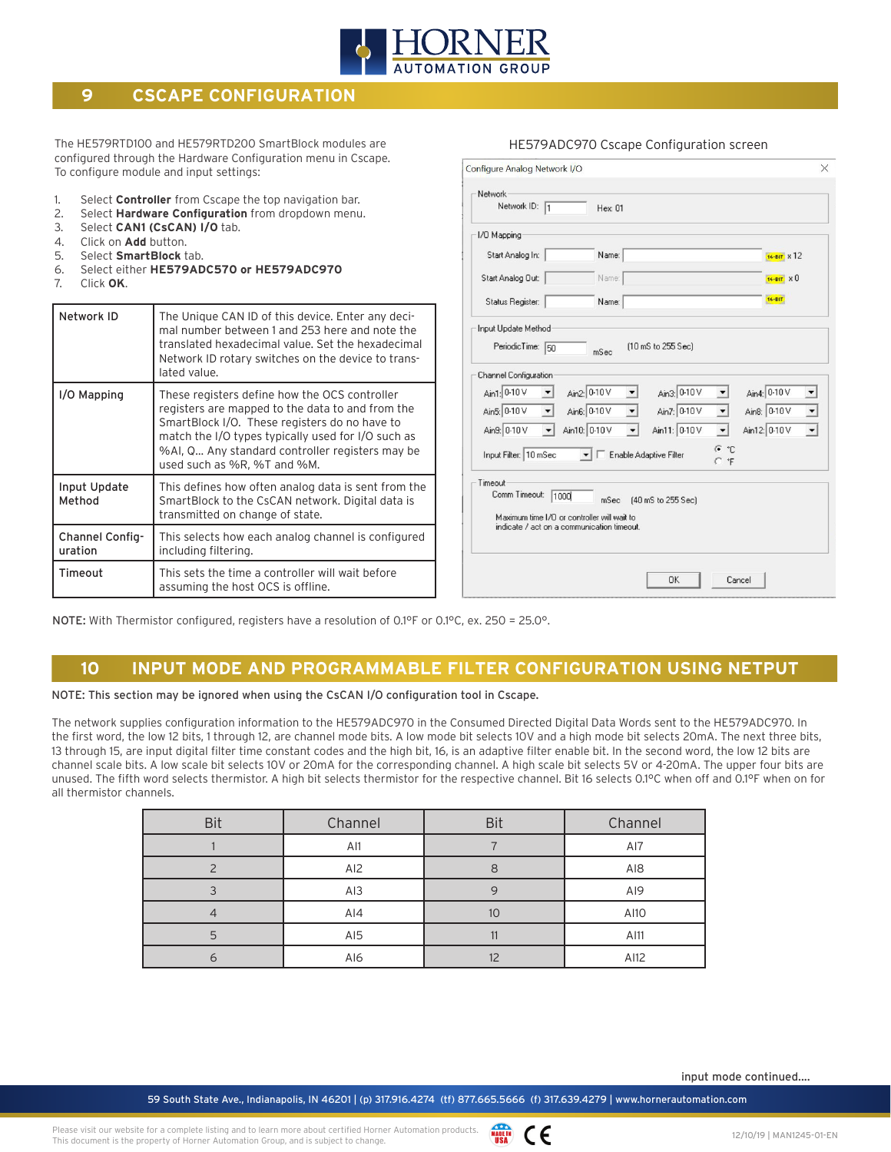

#### **9 CSCAPE CONFIGURATION**

The HE579RTD100 and HE579RTD200 SmartBlock modules are configured through the Hardware Configuration menu in Cscape. To configure module and input settings:

- 1. Select **Controller** from Cscape the top navigation bar.
- 2. Select **Hardware Configuration** from dropdown menu.
- 3. Select **CAN1 (CsCAN) I/O** tab.
- 4. Click on **Add** button.
- 5. Select **SmartBlock** tab.
- 6. Select either **HE579ADC570 or HE579ADC970**
- 7. Click **OK**.

| Network ID                 | The Unique CAN ID of this device. Enter any deci-<br>mal number between 1 and 253 here and note the<br>translated hexadecimal value. Set the hexadecimal<br>Network ID rotary switches on the device to trans-<br>lated value.                                                             |
|----------------------------|--------------------------------------------------------------------------------------------------------------------------------------------------------------------------------------------------------------------------------------------------------------------------------------------|
| I/O Mapping                | These registers define how the OCS controller<br>registers are mapped to the data to and from the<br>SmartBlock I/O. These registers do no have to<br>match the I/O types typically used for I/O such as<br>%AI, Q Any standard controller registers may be<br>used such as %R, %T and %M. |
| Input Update<br>Method     | This defines how often analog data is sent from the<br>SmartBlock to the CsCAN network. Digital data is<br>transmitted on change of state.                                                                                                                                                 |
| Channel Config-<br>uration | This selects how each analog channel is configured<br>including filtering.                                                                                                                                                                                                                 |
| Timeout                    | This sets the time a controller will wait before<br>assuming the host OCS is offline.                                                                                                                                                                                                      |

| Network ID: 1                                                                                                                 | Hex: 01                      |                        |                      |                                      |
|-------------------------------------------------------------------------------------------------------------------------------|------------------------------|------------------------|----------------------|--------------------------------------|
| 1/0 Mapping                                                                                                                   |                              |                        |                      |                                      |
| Start Analog In:                                                                                                              | Name:                        |                        |                      | 16-BIT X 12                          |
| Start Analog Out:                                                                                                             | Name:                        |                        |                      | $16 - BIT \times 0$                  |
| Status Register:                                                                                                              | Name:                        |                        |                      | 16-BIT                               |
| Input Update Method<br>PeriodicTime:<br>50                                                                                    | mSec                         | [10 mS to 255 Sec]     |                      |                                      |
| Channel Configuration                                                                                                         |                              |                        |                      |                                      |
| Ain1: 0-10 V                                                                                                                  | Ain2: 0-10 V                 | Ain3: 0-10 V           |                      | Ain4: 0-10 V                         |
| Ain5: 0-10 V<br>$\overline{\phantom{a}}$                                                                                      | Ain6: 0-10 V<br>$\mathbf{v}$ | Ain7: 0-10 V           | $\blacktriangledown$ | Ain8: 0-10 V<br>$\blacktriangledown$ |
| Ain9: 0-10 V<br>$\blacktriangledown$                                                                                          | Ain10: 0-10 V                | Ain11: 0-10 V          | $\blacktriangledown$ | Ain12: 0-10 V<br>$\vert$             |
| Input Filter: 10 mSec                                                                                                         |                              | Enable Adaptive Filter | G °C<br>$C$ $F$      |                                      |
| Timeout<br>Comm Timeout:<br>1000<br>Maximum time I/D or controller will wait to<br>indicate / act on a communication timeout. | mSec                         | [40 mS to 255 Sec]     |                      |                                      |
|                                                                                                                               |                              |                        |                      |                                      |

HE579ADC970 Cscape Configuration screen

NOTE: With Thermistor configured, registers have a resolution of 0.1°F or 0.1°C, ex. 250 = 25.0°.

#### **10 INPUT MODE AND PROGRAMMABLE FILTER CONFIGURATION USING NETPUT**

NOTE: This section may be ignored when using the CsCAN I/O configuration tool in Cscape.

The network supplies configuration information to the HE579ADC970 in the Consumed Directed Digital Data Words sent to the HE579ADC970. In the first word, the low 12 bits, 1 through 12, are channel mode bits. A low mode bit selects 10V and a high mode bit selects 20mA. The next three bits, 13 through 15, are input digital filter time constant codes and the high bit, 16, is an adaptive filter enable bit. In the second word, the low 12 bits are channel scale bits. A low scale bit selects 10V or 20mA for the corresponding channel. A high scale bit selects 5V or 4-20mA. The upper four bits are unused. The fifth word selects thermistor. A high bit selects thermistor for the respective channel. Bit 16 selects 0.1°C when off and 0.1°F when on for all thermistor channels.

| <b>Bit</b> | Channel | <b>Bit</b> | Channel         |
|------------|---------|------------|-----------------|
|            | AI1     |            | AI7             |
|            | AI2     |            | AI <sub>8</sub> |
|            | AI3     |            | AI9             |
|            | AI4     | 10         | A110            |
|            | AI5     | 11         | A111            |
|            | AI6     | 12         | AI12            |

input mode continued....

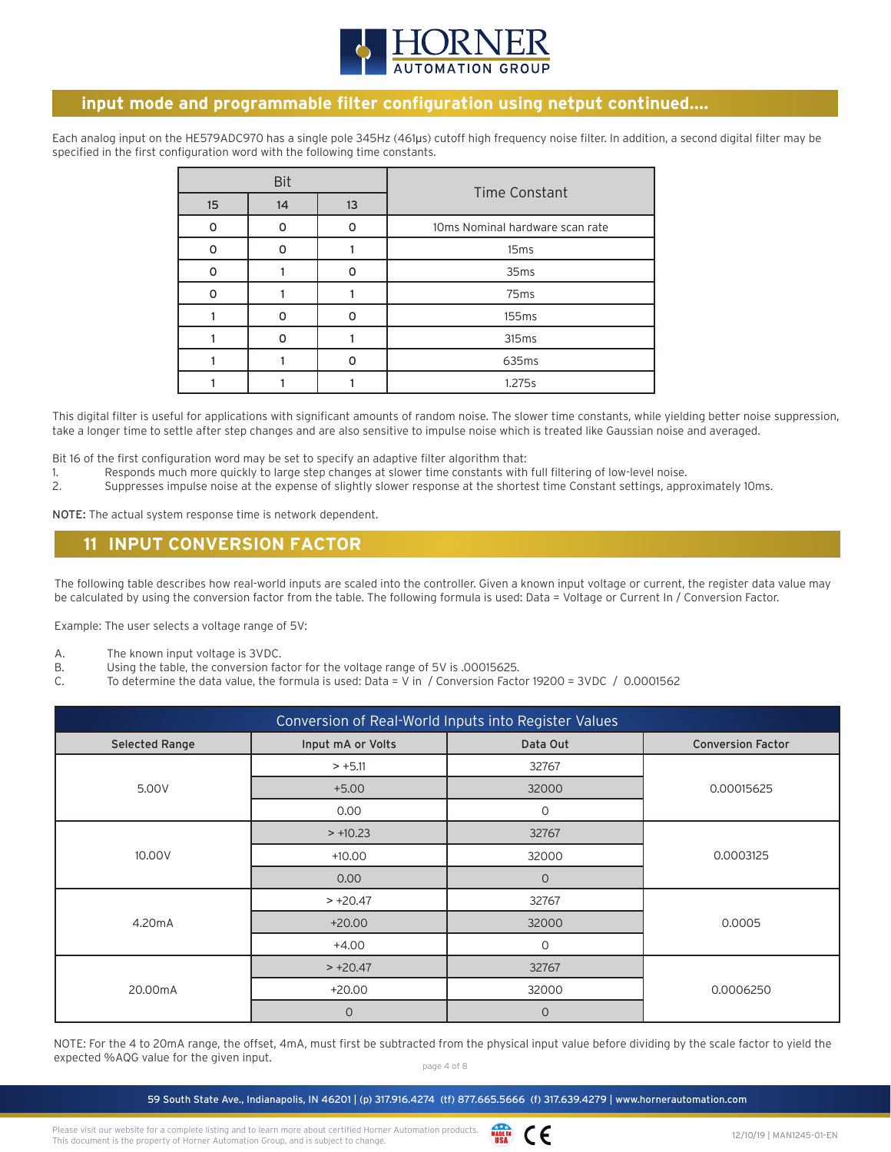

#### **input mode and programmable filter configuration using netput continued....**

Each analog input on the HE579ADC970 has a single pole 345Hz (461μs) cutoff high frequency noise filter. In addition, a second digital filter may be specified in the first configuration word with the following time constants.

|                  | <b>Bit</b> |    | <b>Time Constant</b>            |
|------------------|------------|----|---------------------------------|
| 15 <sup>15</sup> | 14         | 13 |                                 |
| O                | ∩          | n  | 10ms Nominal hardware scan rate |
| 0                | O          |    | 15 <sub>ms</sub>                |
| n                |            | n  | 35 <sub>ms</sub>                |
| 0                |            |    | 75 <sub>ms</sub>                |
|                  | n          |    | 155 <sub>ms</sub>               |
|                  | n          |    | 315 <sub>ms</sub>               |
|                  |            | n  | 635ms                           |
|                  |            |    | 1.275s                          |

This digital filter is useful for applications with significant amounts of random noise. The slower time constants, while yielding better noise suppression, take a longer time to settle after step changes and are also sensitive to impulse noise which is treated like Gaussian noise and averaged.

Bit 16 of the first configuration word may be set to specify an adaptive filter algorithm that:

- 1. Responds much more quickly to large step changes at slower time constants with full filtering of low-level noise.
- 2. Suppresses impulse noise at the expense of slightly slower response at the shortest time Constant settings, approximately 10ms.

NOTE: The actual system response time is network dependent.

#### **11 INPUT CONVERSION FACTOR**

The following table describes how real-world inputs are scaled into the controller. Given a known input voltage or current, the register data value may be calculated by using the conversion factor from the table. The following formula is used: Data = Voltage or Current In / Conversion Factor.

Example: The user selects a voltage range of 5V:

- A. The known input voltage is 3VDC.
- B. Using the table, the conversion factor for the voltage range of 5V is .00015625.
- C. To determine the data value, the formula is used: Data = V in / Conversion Factor 19200 = 3VDC / 0.0001562

| Conversion of Real-World Inputs into Register Values |                   |                |                          |  |  |
|------------------------------------------------------|-------------------|----------------|--------------------------|--|--|
| <b>Selected Range</b>                                | Input mA or Volts | Data Out       | <b>Conversion Factor</b> |  |  |
|                                                      | $> +5.11$         | 32767          |                          |  |  |
| 5.00V                                                | $+5.00$           | 32000          | 0.00015625               |  |  |
|                                                      | 0.00              | $\mathbf 0$    |                          |  |  |
|                                                      | $> +10.23$        | 32767          |                          |  |  |
| 10.00V                                               | $+10.00$          | 32000          | 0.0003125                |  |  |
|                                                      | 0.00              | $\overline{O}$ |                          |  |  |
|                                                      | $> +20.47$        | 32767          |                          |  |  |
| 4.20mA                                               | $+20.00$          | 32000          | 0.0005                   |  |  |
|                                                      | $+4.00$           | $\mathbf 0$    |                          |  |  |
| 20.00mA                                              | $> +20.47$        | 32767          |                          |  |  |
|                                                      | $+20.00$          | 32000          | 0.0006250                |  |  |
|                                                      | $\mathbf 0$       | $\overline{O}$ |                          |  |  |

NOTE: For the 4 to 20mA range, the offset, 4mA, must first be subtracted from the physical input value before dividing by the scale factor to yield the expected %AQG value for the given input.

page 4 of 8

59 South State Ave., Indianapolis, IN 46201 | (p) 317.916.4274 (tf) 877.665.5666 (f) 317.639.4279 | www.hornerautomation.com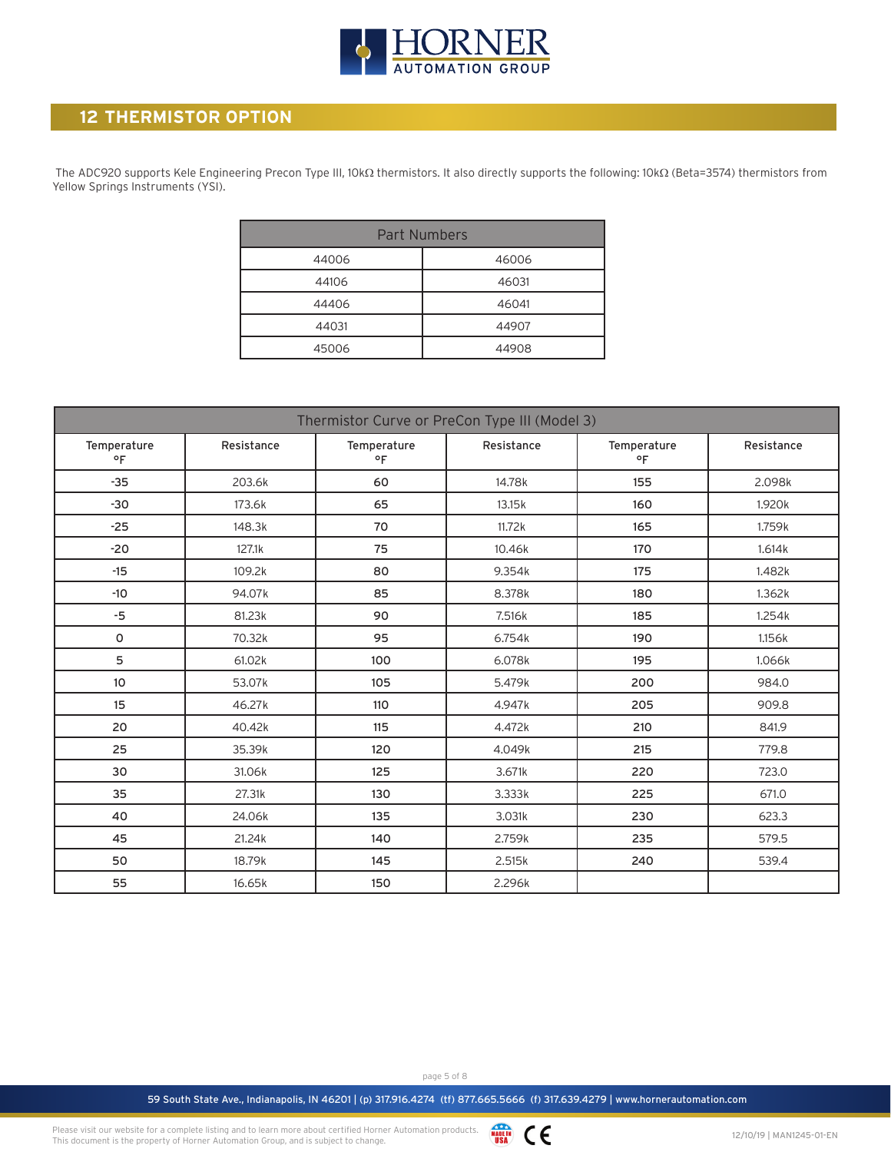

#### **12 THERMISTOR OPTION**

 The ADC920 supports Kele Engineering Precon Type III, 10kΩ thermistors. It also directly supports the following: 10kΩ (Beta=3574) thermistors from Yellow Springs Instruments (YSI).

| <b>Part Numbers</b> |       |  |  |  |  |  |  |  |  |
|---------------------|-------|--|--|--|--|--|--|--|--|
| 44006               | 46006 |  |  |  |  |  |  |  |  |
| 44106               | 46031 |  |  |  |  |  |  |  |  |
| 44406               | 46041 |  |  |  |  |  |  |  |  |
| 44031               | 44907 |  |  |  |  |  |  |  |  |
| 45006               | 44908 |  |  |  |  |  |  |  |  |

| Thermistor Curve or PreCon Type III (Model 3) |            |                   |            |                             |            |  |  |  |  |  |  |
|-----------------------------------------------|------------|-------------------|------------|-----------------------------|------------|--|--|--|--|--|--|
| Temperature<br>$^{\circ}$ F                   | Resistance | Temperature<br>٥F | Resistance | Temperature<br>$^{\circ}$ F | Resistance |  |  |  |  |  |  |
| $-35$                                         | 203.6k     | 60                | 14.78k     | 155                         | 2.098k     |  |  |  |  |  |  |
| $-30$                                         | 173.6k     | 65                | 13.15k     | 160                         | 1.920k     |  |  |  |  |  |  |
| $-25$                                         | 148.3k     | 70                | 11.72k     | 165                         | 1.759k     |  |  |  |  |  |  |
| $-20$                                         | 127.1k     | 75                | 10.46k     | 170                         | 1.614k     |  |  |  |  |  |  |
| $-15$                                         | 109.2k     | 80                | 9.354k     | 175                         | 1.482k     |  |  |  |  |  |  |
| $-10$                                         | 94.07k     | 85                | 8.378k     | 180                         | 1.362k     |  |  |  |  |  |  |
| -5                                            | 81.23k     | 90                | 7.516k     | 185                         | 1.254k     |  |  |  |  |  |  |
| 0                                             | 70.32k     | 95                | 6.754k     | 190                         | 1.156k     |  |  |  |  |  |  |
| 5                                             | 61.02k     | 100               | 6.078k     | 195                         | 1.066k     |  |  |  |  |  |  |
| 10                                            | 53.07k     | 105               | 5.479k     | 200                         | 984.0      |  |  |  |  |  |  |
| 15                                            | 46.27k     | 110               | 4.947k     | 205                         | 909.8      |  |  |  |  |  |  |
| 20                                            | 40.42k     | 115               | 4.472k     | 210                         | 841.9      |  |  |  |  |  |  |
| 25                                            | 35.39k     | 120               | 4.049k     | 215                         | 779.8      |  |  |  |  |  |  |
| 30                                            | 31.06k     | 125               | 3.671k     | 220                         | 723.0      |  |  |  |  |  |  |
| 35                                            | 27.31k     | 130               | 3.333k     | 225                         | 671.0      |  |  |  |  |  |  |
| 40                                            | 24.06k     | 135               | 3.031k     | 230                         | 623.3      |  |  |  |  |  |  |
| 45                                            | 21.24k     | 140               | 2.759k     | 235                         | 579.5      |  |  |  |  |  |  |
| 50                                            | 18.79k     | 145               | 2.515k     | 240                         | 539.4      |  |  |  |  |  |  |
| 55                                            | 16.65k     | 150               | 2.296k     |                             |            |  |  |  |  |  |  |

page 5 of 8

59 South State Ave., Indianapolis, IN 46201 | (p) 317.916.4274 (tf) 877.665.5666 (f) 317.639.4279 | www.hornerautomation.com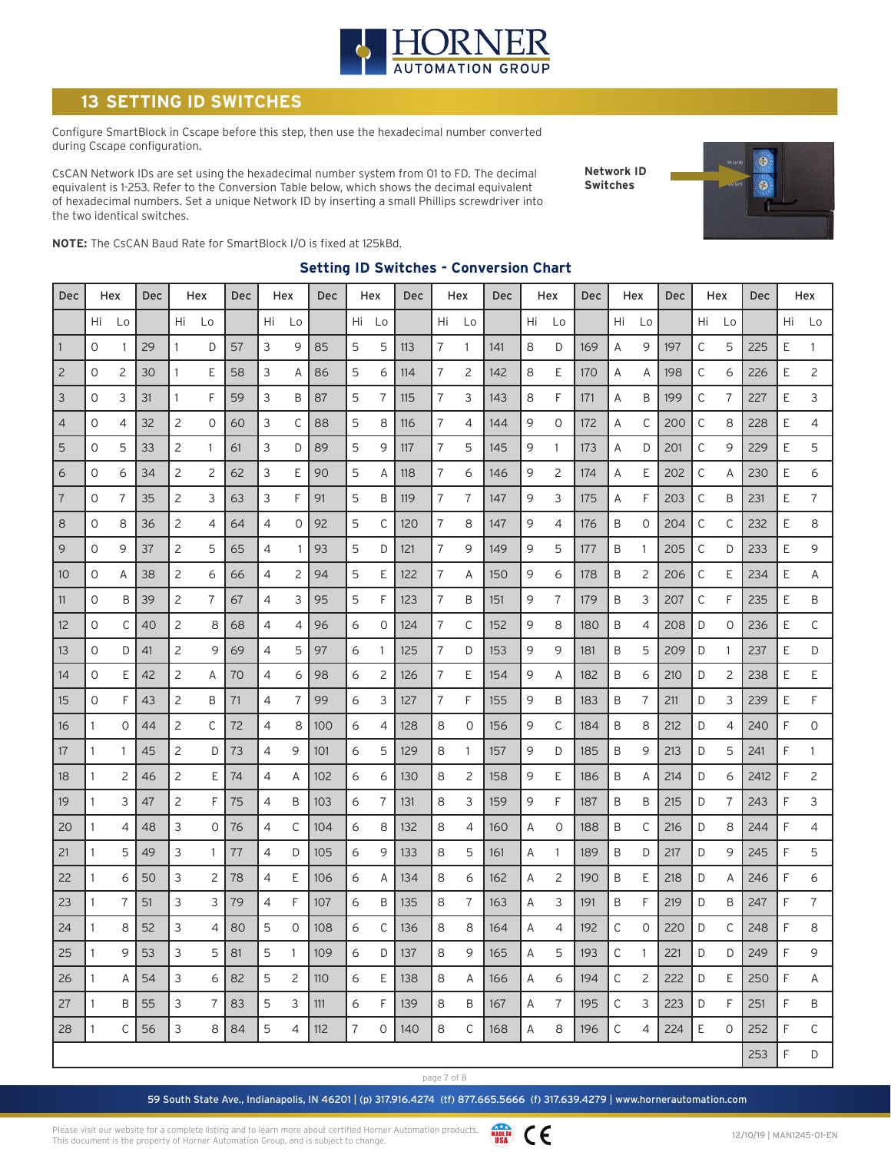

### **SETTING ID SWITCHES**

Configure SmartBlock in Cscape before this step, then use the hexadecimal number converted during Cscape configuration.

CsCAN Network IDs are set using the hexadecimal number system from 01 to FD. The decimal equivalent is 1-253. Refer to the Conversion Table below, which shows the decimal equivalent of hexadecimal numbers. Set a unique Network ID by inserting a small Phillips screwdriver into the two identical switches.

**Network ID Switches**



**NOTE:** The CsCAN Baud Rate for SmartBlock I/O is fixed at 125kBd.

#### **Setting ID Switches - Conversion Chart**

| Dec            |              | Hex            | Dec |    | Hex            | Dec |    | Hex          | Dec |    | Hex | Dec | Hex            |    | <b>Dec</b> |    | Hex            | Dec | Hex |                | Dec | Hex |             | <b>Dec</b> |    | Hex            |
|----------------|--------------|----------------|-----|----|----------------|-----|----|--------------|-----|----|-----|-----|----------------|----|------------|----|----------------|-----|-----|----------------|-----|-----|-------------|------------|----|----------------|
|                | Hi           | Lo             |     | Hi | Lo             |     | Hi | Lo           |     | Hi | Lo  |     | Hi             | Lo |            | Hi | Lo             |     | Hi  | Lo             |     | Hi  | Lo          |            | Hi | Lo             |
| $\mathbf{1}$   | 0            |                | 29  | 1  | D              | 57  | 3  | 9            | 85  | 5  | 5   | 113 | 7              | 1  | 141        | 8  | D              | 169 | Α   | 9              | 197 | С   | 5           | 225        | Ε  | 1              |
| $\overline{c}$ | 0            | 2              | 30  | 1  | Ε              | 58  | 3  | Α            | 86  | 5  | 6   | 114 | 7              | 2  | 142        | 8  | Ε              | 170 | Α   | Α              | 198 | С   | 6           | 226        | Ε  | $\overline{c}$ |
| 3              | 0            | 3              | 31  | 1  | F              | 59  | 3  | B            | 87  | 5  | 7   | 115 | 7              | 3  | 143        | 8  | F              | 171 | Α   | Β              | 199 | С   | 7           | 227        | Ε  | 3              |
| 4              | 0            | 4              | 32  | 2  | 0              | 60  | 3  | С            | 88  | 5  | 8   | 116 | 7              | 4  | 144        | 9  | 0              | 172 | Α   | С              | 200 | С   | 8           | 228        | Ε  | 4              |
| 5              | $\circ$      | 5              | 33  | 2  | 1              | 61  | 3  | D            | 89  | 5  | 9   | 117 | $\overline{7}$ | 5  | 145        | 9  | 1              | 173 | Α   | D              | 201 | С   | 9           | 229        | E  | 5              |
| 6              | 0            | 6              | 34  | 2  | 2              | 62  | 3  | Ε            | 90  | 5  | A   | 118 | 7              | 6  | 146        | 9  | 2              | 174 | Α   | Ε              | 202 | С   | Α           | 230        | Ε  | 6              |
| $\overline{7}$ | 0            | 7              | 35  | 2  | 3              | 63  | 3  | F            | 91  | 5  | Β   | 119 | 7              | 7  | 147        | 9  | 3              | 175 | Α   | F              | 203 | С   | B           | 231        | Ε  | 7              |
| 8              | 0            | 8              | 36  | 2  | 4              | 64  | 4  | 0            | 92  | 5  | С   | 120 | 7              | 8  | 147        | 9  | $\overline{4}$ | 176 | B   | 0              | 204 | С   | С           | 232        | Ε  | 8              |
| 9              | 0            | 9              | 37  | 2  | 5              | 65  | 4  | -1           | 93  | 5  | D   | 121 | 7              | 9  | 149        | 9  | 5              | 177 | B   | 1              | 205 | C   | D           | 233        | Ε  | 9              |
| 10             | 0            | Α              | 38  | 2  | 6              | 66  | 4  | 2            | 94  | 5  | Ε   | 122 | 7              | Α  | 150        | 9  | 6              | 178 | B   | $\overline{c}$ | 206 | C   | Ε           | 234        | Ε  | Α              |
| 11             | 0            | Β              | 39  | 2  | 7              | 67  | 4  | 3            | 95  | 5  | F   | 123 | 7              | B  | 151        | 9  | 7              | 179 | B   | 3              | 207 | C   | F           | 235        | Ε  | Β              |
| 12             | 0            | C              | 40  | 2  | 8              | 68  | 4  | 4            | 96  | 6  | 0   | 124 | 7              | С  | 152        | 9  | 8              | 180 | Β   | 4              | 208 | D   | 0           | 236        | Ε  | С              |
| 13             | 0            | D              | 41  | 2  | 9              | 69  | 4  | 5            | 97  | 6  | 1   | 125 | 7              | D  | 153        | 9  | 9              | 181 | B   | 5              | 209 | D   | -1          | 237        | E  | D              |
| 14             | 0            | Ε              | 42  | 2  | Α              | 70  | 4  | 6            | 98  | 6  | 2   | 126 | 7              | E  | 154        | 9  | Α              | 182 | Β   | 6              | 210 | D   | 2           | 238        | Ε  | Ε              |
| 15             | 0            | F              | 43  | 2  | B              | 71  | 4  | 7            | 99  | 6  | 3   | 127 | 7              | F  | 155        | 9  | B              | 183 | B   | 7              | 211 | D   | 3           | 239        | E  | F              |
| 16             | 1            | 0              | 44  | 2  | С              | 72  | 4  | 8            | 100 | 6  | 4   | 128 | 8              | 0  | 156        | 9  | C              | 184 | B   | 8              | 212 | D   | 4           | 240        | F  | 0              |
| 17             |              |                | 45  | 2  | D              | 73  | 4  | 9            | 101 | 6  | 5   | 129 | 8              | 1  | 157        | 9  | D              | 185 | B   | 9              | 213 | D   | 5           | 241        | F  | 1              |
| 18             |              | $\overline{c}$ | 46  | 2  | Ε              | 74  | 4  | A            | 102 | 6  | 6   | 130 | 8              | 2  | 158        | 9  | E              | 186 | B   | Α              | 214 | D   | 6           | 2412       | F  | 2              |
| 19             |              | 3              | 47  | 2  | F              | 75  | 4  | B            | 103 | 6  | 7   | 131 | 8              | 3  | 159        | 9  | F              | 187 | B   | Β              | 215 | D   | 7           | 243        | F  | 3              |
| 20             | 1            | 4              | 48  | 3  | 0              | 76  | 4  | C            | 104 | 6  | 8   | 132 | 8              | 4  | 160        | Α  | $\circ$        | 188 | B   | C              | 216 | D   | 8           | 244        | F  | 4              |
| 21             | 1            | 5              | 49  | 3  | $\mathbf{1}$   | 77  | 4  | D            | 105 | 6  | 9   | 133 | 8              | 5  | 161        | Α  | 1              | 189 | B   | D              | 217 | D   | 9           | 245        | F  | 5              |
| 22             | 1            | 6              | 50  | 3  | 2              | 78  | 4  | Ε            | 106 | 6  | Α   | 134 | 8              | 6  | 162        | Α  | 2              | 190 | Β   | Ε              | 218 | D   | Α           | 246        | F  | 6              |
| 23             |              | 7              | 51  | 3  | 3              | 79  | 4  | F            | 107 | 6  | Β   | 135 | 8              | 7  | 163        | Α  | 3              | 191 | Β   | F              | 219 | D   | Β           | 247        | F  | 7              |
| 24             | $\mathbf{1}$ | 8              | 52  | 3  | 4              | 80  | 5  | 0            | 108 | 6  | С   | 136 | 8              | 8  | 164        | А  | 4              | 192 | C   | 0              | 220 | D   | C           | 248        | F  | 8              |
| 25             | 1            | 9              | 53  | 3  | 5              | 81  | 5  | $\mathbf{1}$ | 109 | 6  | D   | 137 | 8              | 9  | 165        | Α  | 5              | 193 | С   | $\mathbf{1}$   | 221 | D   | D           | 249        | F  | 9              |
| 26             | 1            | Α              | 54  | 3  | 6              | 82  | 5  | 2            | 110 | 6  | E   | 138 | 8              | A  | 166        | Α  | 6              | 194 | С   | 2              | 222 | D   | E           | 250        | F  | Α              |
| 27             |              | B              | 55  | 3  | $\overline{7}$ | 83  | 5  | 3            | 111 | 6  | F   | 139 | 8              | B  | 167        | Α  | 7              | 195 | С   | 3              | 223 | D   | F           | 251        | F  | B              |
| 28             | 1            | C              | 56  | 3  | 8              | 84  | 5  | 4            | 112 | 7  | 0   | 140 | 8              | C  | 168        | Α  | 8              | 196 | С   | 4              | 224 | E   | $\mathbf 0$ | 252        | F  | C              |
|                |              |                |     |    |                |     |    |              |     |    |     |     |                |    |            |    |                |     |     |                |     |     |             | 253        | F  | D              |

page 7 of 8

59 South State Ave., Indianapolis, IN 46201 | (p) 317.916.4274 (tf) 877.665.5666 (f) 317.639.4279 | www.hornerautomation.com